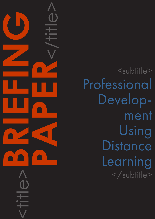<subtitle> Professional Development Using **Distance** Learning </subtitle>

<title>**BRIEFING**

**PAPER**<br>CONSTRAINS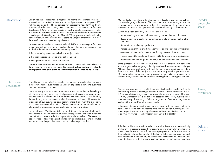## CAPDM Ltd. CAPDM Ltd.

Introduction Universities and colleges make a major contribution to professional development in many fields. In particular, they support initial professional development (IPD) with first degree and certificate courses that address the need for 'mainstream' professional education. They also contribute to continuous professional development (CPD) with more specialist, post-graduate programmes – often in the form of part-time or short courses. In parallel, professional associations provide specialist training for both IPD and CPD purposes – sometimes forming partnerships with universities and colleges to deliver joint programmes that meet the specific needs of the relevant profession.

> However, there is evidence that even this level of effort is not meeting professional education and training needs in a number of areas. There are numerous reasons for this but they all stem from three underlying trends:

1. increasing degrees of specialisation in subject matter;

2. broader geographic spread of potential students;

3. timing constraints for student participation.

These are quite separate and independent trends. Interestingly, they all result in the same major issue for educators and trainers – **too few students available** at a specific time and place to form a traditional 'face-to-face' class.

One of the most powerful drivers for scientific, economic and cultural development is the involvement of ever increasing numbers of people, addressing ever more specialist issues and problems.

This is resulting in an exponential increase in the sum of human knowledge. We have harnessed many new technologies and systems to manage and communicate the information that underpins this knowledge – stimulated by the need for greater convenience, effectiveness and efficiency. However, this expansion of our knowledge base requires more than simply the availability and communication of information. There is, as always, an associated need for tutoring in the understanding and application of that knowledge.

In the past, this issue was addressed by evening or part-time classes but, as 24 hour/7day working patterns become more common and shift working becomes more frequent, students in some professions find they cannot attend classes at a fixed time every week. The key requirement here is **flexibility**.

This is not new. What is new is the level of demand for specialist tutoring to cater for the increasing breadth of our knowledge base. But, with increasing specialisation comes a reduction in potential student numbers. The economic basis for face-to-face tutoring is challenged by small class sizes, and the limited number of suitable specialists to act as tutors only compounds this.

# Increasing specialisation

Broader geographic spread

Multiple factors are driving the demand for education and training delivery across wider geographic areas. The most obvious is the increasing importance of education in the developing world. This applies mainly to 'mainstream' education at present – but specialist education and training is also required.

Within developed countries, other forces are at work:

- students seeking education while remaining close to their work location;
- students wanting to continue their education while on assignment to other locations;
- students temporarily employed abroad;
- •increasing government efforts to decentralise and relocate major functions;
- a commercial need to locate customer facing functions closer to clients;
- increasing need for greater staff mobility within firms and other organisations;
- student requirements for greater mobility between employers and locations.

Some professional associations have tackled these problems by partnering with a large number of geographically distributed universities and colleges. Although this approach can work well for mainstream requirements (where there is a substantial demand), it is much less appropriate for specialist areas. Most universities and colleges undertaking more specialist programmes have, at some point, experienced the problems resulting from a shortage of students.

On-campus programmes are widely seen (by both students and tutors) as the preferred approach to meeting educational needs. This is particularly true for IPD, where full-time programmes are, generally, most appropriate. However, for many CPD requirements (and in some cases for IPD as well), students do not have the luxury of attending a full-time programme. They must integrate their studies with work and/or other commitments.

A further problem for specialist education and training is ensuring continuity of delivery. In specialist areas there are, inevitably, fewer tutors available. In many cases this means that a face-to-face programme can be dependent on the availability of a particular tutor. If the tutor is ill, the course doesn't run and, if the tutor moves to another job, the course may well have to be cancelled. This is a major issue for students who are studying to pass professional examinations.

Timing constraints

Delivery issues